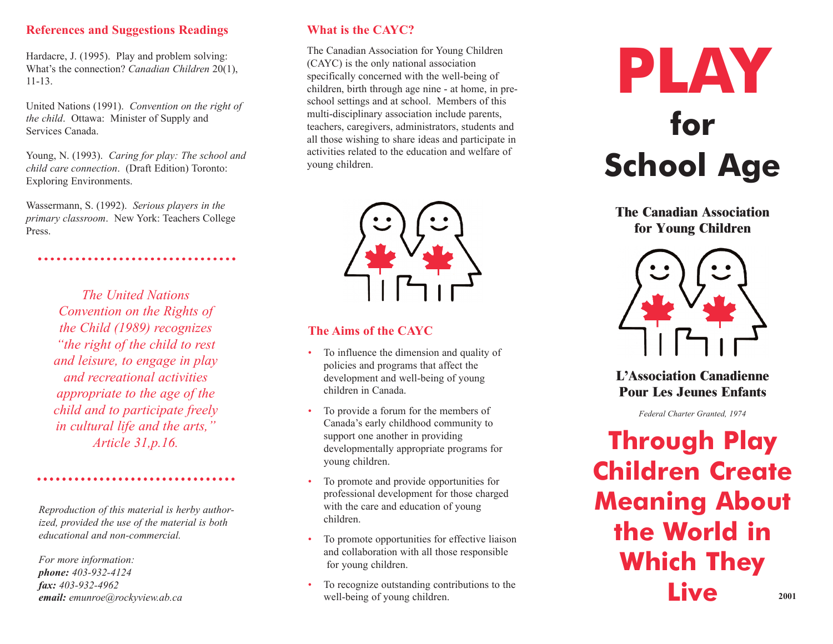#### **References and Suggestions Readings**

Hardacre, J. (1995). Play and problem solving: What's the connection? *Canadian Children* 20(1), 11-13.

United Nations (1991). *Convention on the right of the child*. Ottawa: Minister of Supply and Services Canada.

Young, N. (1993). *Caring for play: The school and child care connection*. (Draft Edition) Toronto: Exploring Environments.

Wassermann, S. (1992). *Serious players in the primary classroom*. New York: Teachers College Press.

*The United Nations Convention on the Rights of the Child (1989) recognizes "the right of the child to rest and leisure, to engage in play and recreational activities appropriate to the age of the child and to participate freely in cultural life and the arts,"*

*Reproduction of this material is herby authorized, provided the use of the material is both educational and non-commercial.*

*For more information: phone: 403-932-4124 fax: 403-932-4962 email: emunroe@rockyview.ab.ca*

# **What is the CAYC?**

The Canadian Association for Young Children (CAYC) is the only national association specifically concerned with the well-being of children, birth through age nine - at home, in preschool settings and at school. Members of this multi-disciplinary association include parents, teachers, caregivers, administrators, students and all those wishing to share ideas and participate in activities related to the education and welfare of young children.



#### **The Aims of the CAYC**

- To influence the dimension and quality of policies and programs that affect the development and well-being of young children in Canada.
- *Article 31,p.16.* Support one another in providing<br>developmentally appropriate programs for **Through Play** • To provide a forum for the members of Canada's early childhood community to support one another in providing developmentally appropriate programs for young children.
	- To promote and provide opportunities for professional development for those charged with the care and education of young children.
	- To promote opportunities for effective liaison and collaboration with all those responsible for young children.
	- To recognize outstanding contributions to the well-being of young children.



**The Canadian Association for Young Children**



**L'Association Canadienne Pour Les Jeunes Enfants**

*Federal Charter Granted, 1974*

**Children Create Meaning About the World in Which They Live 2001**